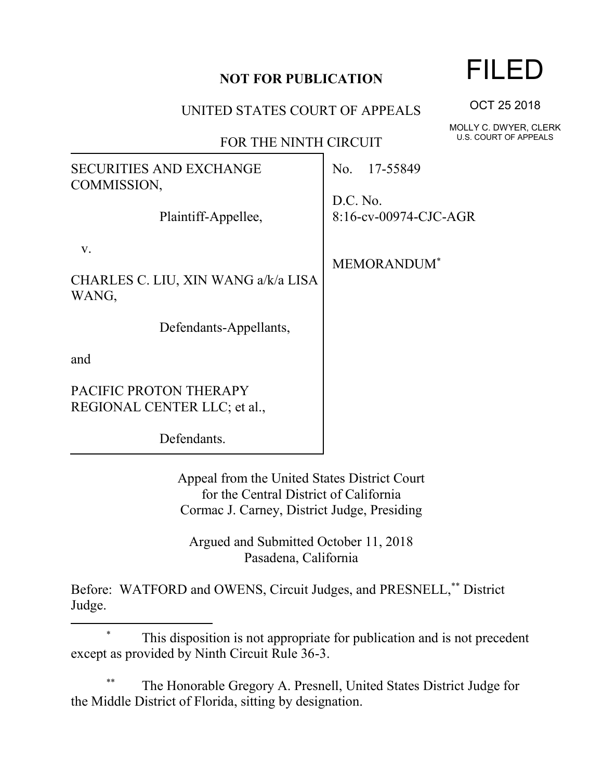## **NOT FOR PUBLICATION**

## UNITED STATES COURT OF APPEALS

## FOR THE NINTH CIRCUIT

| SECURITIES AND EXCHANGE<br>COMMISSION,                 | No. 17-55849                      |
|--------------------------------------------------------|-----------------------------------|
| Plaintiff-Appellee,                                    | D.C. No.<br>8:16-cv-00974-CJC-AGR |
| V.<br>CHARLES C. LIU, XIN WANG a/k/a LISA<br>WANG,     | MEMORANDUM <sup>*</sup>           |
| Defendants-Appellants,                                 |                                   |
| and                                                    |                                   |
| PACIFIC PROTON THERAPY<br>REGIONAL CENTER LLC; et al., |                                   |
| Defendants.                                            |                                   |

Appeal from the United States District Court for the Central District of California Cormac J. Carney, District Judge, Presiding

Argued and Submitted October 11, 2018 Pasadena, California

Before: WATFORD and OWENS, Circuit Judges, and PRESNELL,\*\* District Judge.

 $\overline{a}$ 

The Honorable Gregory A. Presnell, United States District Judge for the Middle District of Florida, sitting by designation.

OCT 25 2018

MOLLY C. DWYER, CLERK U.S. COURT OF APPEALS

<sup>\*</sup> This disposition is not appropriate for publication and is not precedent except as provided by Ninth Circuit Rule 36-3.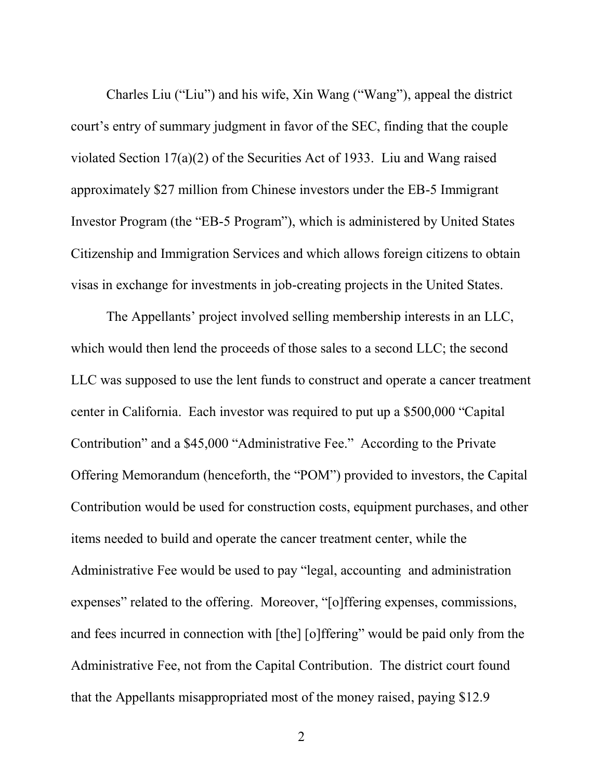Charles Liu ("Liu") and his wife, Xin Wang ("Wang"), appeal the district court's entry of summary judgment in favor of the SEC, finding that the couple violated Section 17(a)(2) of the Securities Act of 1933. Liu and Wang raised approximately \$27 million from Chinese investors under the EB-5 Immigrant Investor Program (the "EB-5 Program"), which is administered by United States Citizenship and Immigration Services and which allows foreign citizens to obtain visas in exchange for investments in job-creating projects in the United States.

The Appellants' project involved selling membership interests in an LLC, which would then lend the proceeds of those sales to a second LLC; the second LLC was supposed to use the lent funds to construct and operate a cancer treatment center in California. Each investor was required to put up a \$500,000 "Capital Contribution" and a \$45,000 "Administrative Fee." According to the Private Offering Memorandum (henceforth, the "POM") provided to investors, the Capital Contribution would be used for construction costs, equipment purchases, and other items needed to build and operate the cancer treatment center, while the Administrative Fee would be used to pay "legal, accounting and administration expenses" related to the offering. Moreover, "[o]ffering expenses, commissions, and fees incurred in connection with [the] [o]ffering" would be paid only from the Administrative Fee, not from the Capital Contribution. The district court found that the Appellants misappropriated most of the money raised, paying \$12.9

2 a set of  $\sim$  2 a set of  $\sim$  2 a set of  $\sim$  2 a set of  $\sim$  3 a set of  $\sim$  3 a set of  $\sim$  3 a set of  $\sim$  3 a set of  $\sim$  3 a set of  $\sim$  3 a set of  $\sim$  3 a set of  $\sim$  3 a set of  $\sim$  3 a set of  $\sim$  3 a set of  $\sim$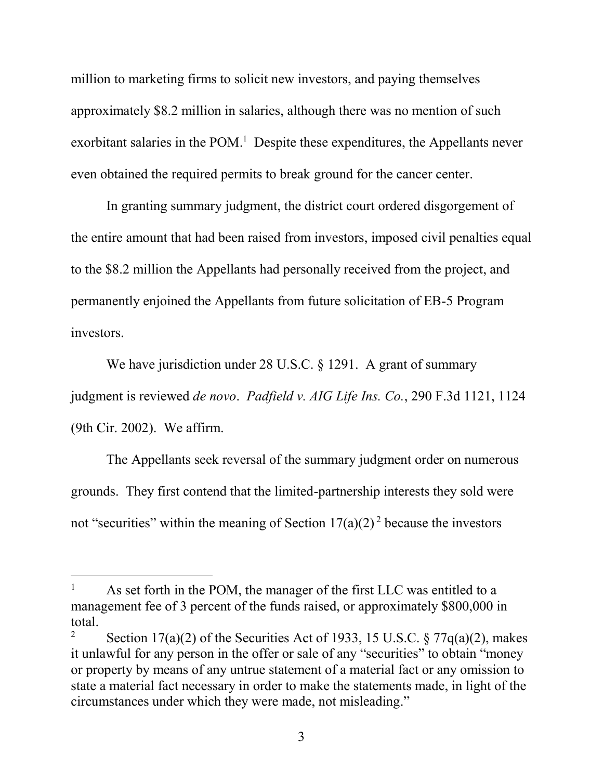million to marketing firms to solicit new investors, and paying themselves approximately \$8.2 million in salaries, although there was no mention of such exorbitant salaries in the POM.<sup>1</sup> Despite these expenditures, the Appellants never even obtained the required permits to break ground for the cancer center.

In granting summary judgment, the district court ordered disgorgement of the entire amount that had been raised from investors, imposed civil penalties equal to the \$8.2 million the Appellants had personally received from the project, and permanently enjoined the Appellants from future solicitation of EB-5 Program investors.

We have jurisdiction under 28 U.S.C. § 1291. A grant of summary judgment is reviewed *de novo*. *Padfield v. AIG Life Ins. Co.*, 290 F.3d 1121, 1124 (9th Cir. 2002). We affirm.

The Appellants seek reversal of the summary judgment order on numerous grounds. They first contend that the limited-partnership interests they sold were not "securities" within the meaning of Section  $17(a)(2)^2$  because the investors

l

 $1$  As set forth in the POM, the manager of the first LLC was entitled to a management fee of 3 percent of the funds raised, or approximately \$800,000 in total.

<sup>&</sup>lt;sup>2</sup> Section 17(a)(2) of the Securities Act of 1933, 15 U.S.C. § 77 $q(a)(2)$ , makes it unlawful for any person in the offer or sale of any "securities" to obtain "money or property by means of any untrue statement of a material fact or any omission to state a material fact necessary in order to make the statements made, in light of the circumstances under which they were made, not misleading."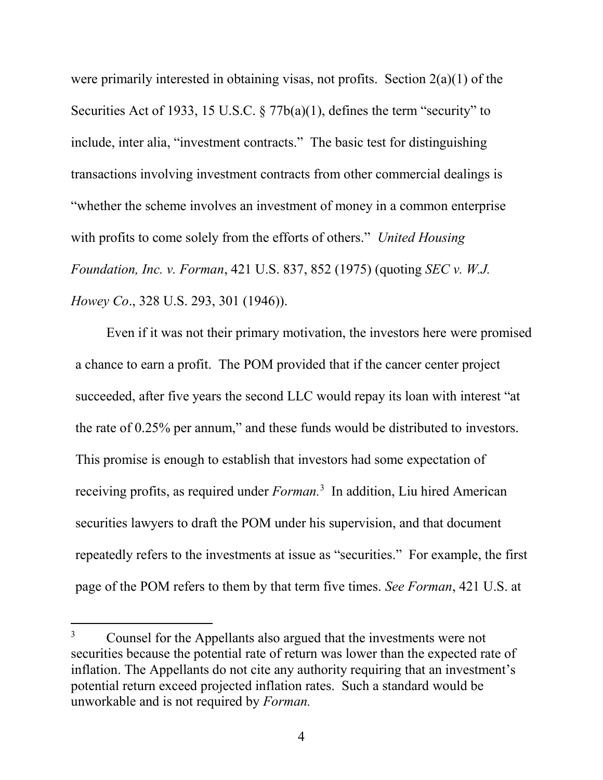were primarily interested in obtaining visas, not profits. Section 2(a)(1) of the Securities Act of 1933, 15 U.S.C. § 77b(a)(1), defines the term "security" to include, inter alia, "investment contracts." The basic test for distinguishing transactions involving investment contracts from other commercial dealings is "whether the scheme involves an investment of money in a common enterprise with profits to come solely from the efforts of others." *United Housing Foundation, Inc. v. Forman*, 421 U.S. 837, 852 (1975) (quoting *SEC v. W.J. Howey Co*., 328 U.S. 293, 301 (1946)).

Even if it was not their primary motivation, the investors here were promised a chance to earn a profit. The POM provided that if the cancer center project succeeded, after five years the second LLC would repay its loan with interest "at the rate of 0.25% per annum," and these funds would be distributed to investors. This promise is enough to establish that investors had some expectation of receiving profits, as required under *Forman.*<sup>3</sup> In addition, Liu hired American securities lawyers to draft the POM under his supervision, and that document repeatedly refers to the investments at issue as "securities." For example, the first page of the POM refers to them by that term five times. *See Forman*, 421 U.S. at

 $\overline{a}$ 

<sup>&</sup>lt;sup>3</sup> Counsel for the Appellants also argued that the investments were not securities because the potential rate of return was lower than the expected rate of inflation. The Appellants do not cite any authority requiring that an investment's potential return exceed projected inflation rates. Such a standard would be unworkable and is not required by *Forman.*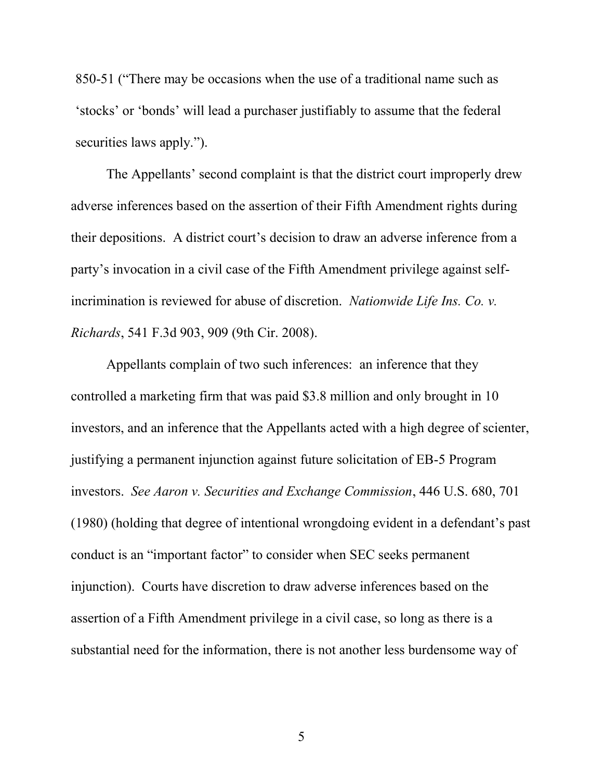850-51 ("There may be occasions when the use of a traditional name such as 'stocks' or 'bonds' will lead a purchaser justifiably to assume that the federal securities laws apply.").

The Appellants' second complaint is that the district court improperly drew adverse inferences based on the assertion of their Fifth Amendment rights during their depositions. A district court's decision to draw an adverse inference from a party's invocation in a civil case of the Fifth Amendment privilege against selfincrimination is reviewed for abuse of discretion. *Nationwide Life Ins. Co. v. Richards*, 541 F.3d 903, 909 (9th Cir. 2008).

Appellants complain of two such inferences: an inference that they controlled a marketing firm that was paid \$3.8 million and only brought in 10 investors, and an inference that the Appellants acted with a high degree of scienter, justifying a permanent injunction against future solicitation of EB-5 Program investors. *See Aaron v. Securities and Exchange Commission*, 446 U.S. 680, 701 (1980) (holding that degree of intentional wrongdoing evident in a defendant's past conduct is an "important factor" to consider when SEC seeks permanent injunction). Courts have discretion to draw adverse inferences based on the assertion of a Fifth Amendment privilege in a civil case, so long as there is a substantial need for the information, there is not another less burdensome way of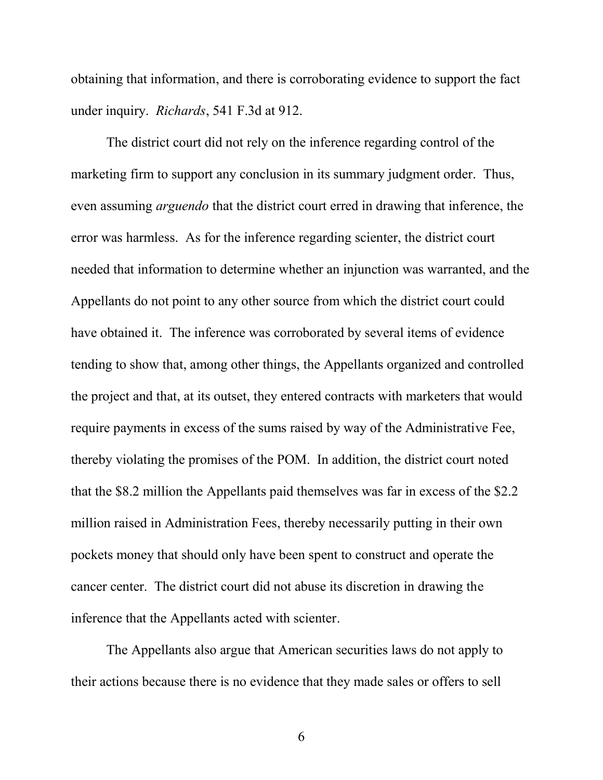obtaining that information, and there is corroborating evidence to support the fact under inquiry. *Richards*, 541 F.3d at 912.

The district court did not rely on the inference regarding control of the marketing firm to support any conclusion in its summary judgment order. Thus, even assuming *arguendo* that the district court erred in drawing that inference, the error was harmless. As for the inference regarding scienter, the district court needed that information to determine whether an injunction was warranted, and the Appellants do not point to any other source from which the district court could have obtained it. The inference was corroborated by several items of evidence tending to show that, among other things, the Appellants organized and controlled the project and that, at its outset, they entered contracts with marketers that would require payments in excess of the sums raised by way of the Administrative Fee, thereby violating the promises of the POM. In addition, the district court noted that the \$8.2 million the Appellants paid themselves was far in excess of the \$2.2 million raised in Administration Fees, thereby necessarily putting in their own pockets money that should only have been spent to construct and operate the cancer center. The district court did not abuse its discretion in drawing the inference that the Appellants acted with scienter.

The Appellants also argue that American securities laws do not apply to their actions because there is no evidence that they made sales or offers to sell

6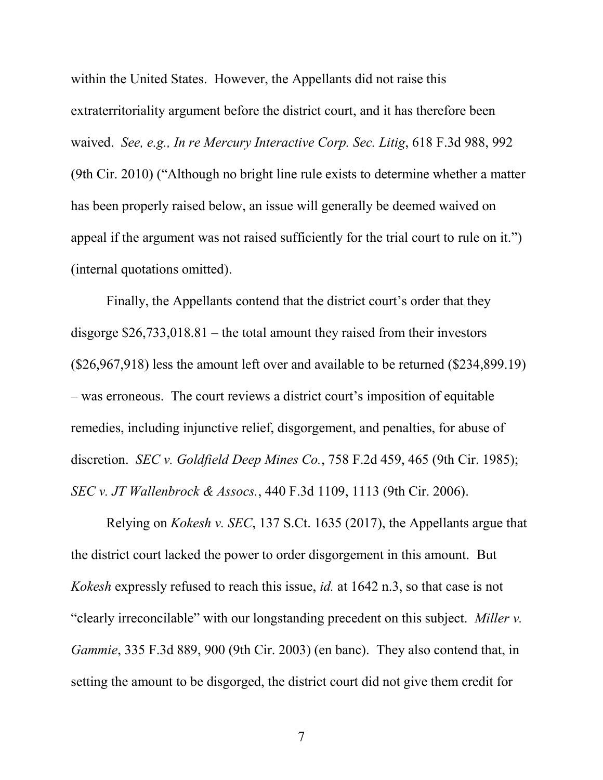within the United States. However, the Appellants did not raise this extraterritoriality argument before the district court, and it has therefore been waived. *See, e.g., In re Mercury Interactive Corp. Sec. Litig*, 618 F.3d 988, 992 (9th Cir. 2010) ("Although no bright line rule exists to determine whether a matter has been properly raised below, an issue will generally be deemed waived on appeal if the argument was not raised sufficiently for the trial court to rule on it.") (internal quotations omitted).

Finally, the Appellants contend that the district court's order that they disgorge \$26,733,018.81 – the total amount they raised from their investors (\$26,967,918) less the amount left over and available to be returned (\$234,899.19) – was erroneous. The court reviews a district court's imposition of equitable remedies, including injunctive relief, disgorgement, and penalties, for abuse of discretion. *SEC v. Goldfield Deep Mines Co.*, 758 F.2d 459, 465 (9th Cir. 1985); *SEC v. JT Wallenbrock & Assocs.*, 440 F.3d 1109, 1113 (9th Cir. 2006).

Relying on *Kokesh v. SEC*, 137 S.Ct. 1635 (2017), the Appellants argue that the district court lacked the power to order disgorgement in this amount. But *Kokesh* expressly refused to reach this issue, *id.* at 1642 n.3, so that case is not "clearly irreconcilable" with our longstanding precedent on this subject. *Miller v. Gammie*, 335 F.3d 889, 900 (9th Cir. 2003) (en banc). They also contend that, in setting the amount to be disgorged, the district court did not give them credit for

7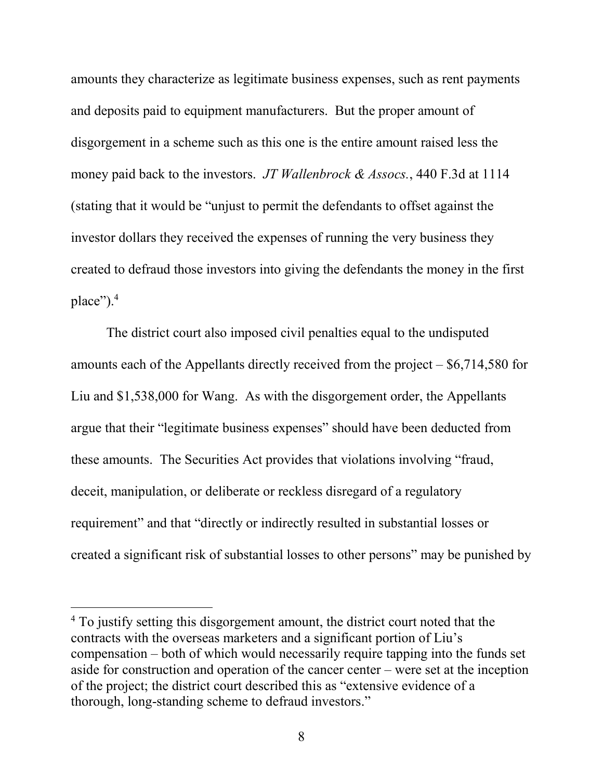amounts they characterize as legitimate business expenses, such as rent payments and deposits paid to equipment manufacturers. But the proper amount of disgorgement in a scheme such as this one is the entire amount raised less the money paid back to the investors. *JT Wallenbrock & Assocs.*, 440 F.3d at 1114 (stating that it would be "unjust to permit the defendants to offset against the investor dollars they received the expenses of running the very business they created to defraud those investors into giving the defendants the money in the first place").<sup>4</sup>

The district court also imposed civil penalties equal to the undisputed amounts each of the Appellants directly received from the project – \$6,714,580 for Liu and \$1,538,000 for Wang. As with the disgorgement order, the Appellants argue that their "legitimate business expenses" should have been deducted from these amounts. The Securities Act provides that violations involving "fraud, deceit, manipulation, or deliberate or reckless disregard of a regulatory requirement" and that "directly or indirectly resulted in substantial losses or created a significant risk of substantial losses to other persons" may be punished by

l

<sup>&</sup>lt;sup>4</sup> To justify setting this disgorgement amount, the district court noted that the contracts with the overseas marketers and a significant portion of Liu's compensation – both of which would necessarily require tapping into the funds set aside for construction and operation of the cancer center – were set at the inception of the project; the district court described this as "extensive evidence of a thorough, long-standing scheme to defraud investors."